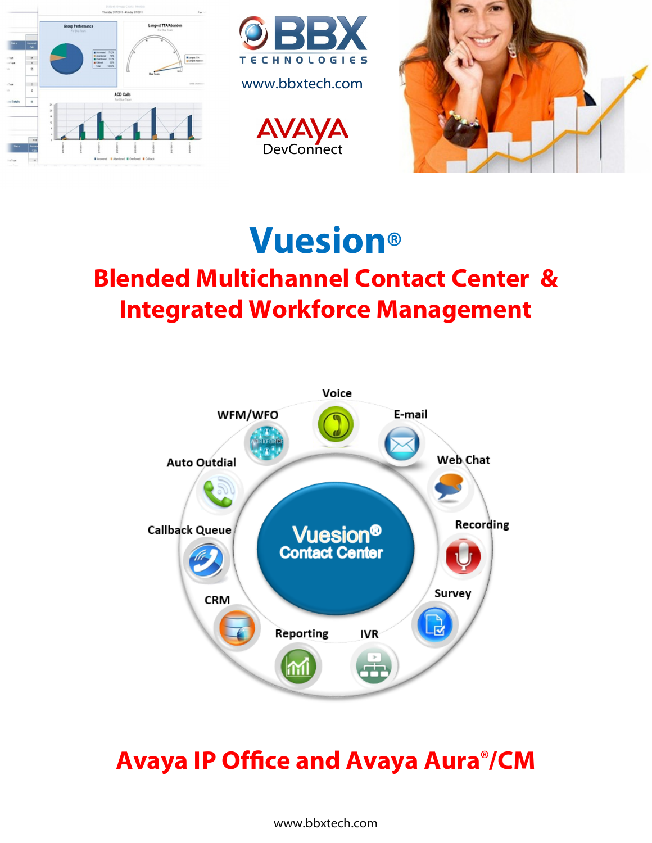

# **Vuesion® Blended Multichannel Contact Center & Integrated Workforce Management**



## **Avaya IP Office and Avaya Aura®/CM**

www.bbxtech.com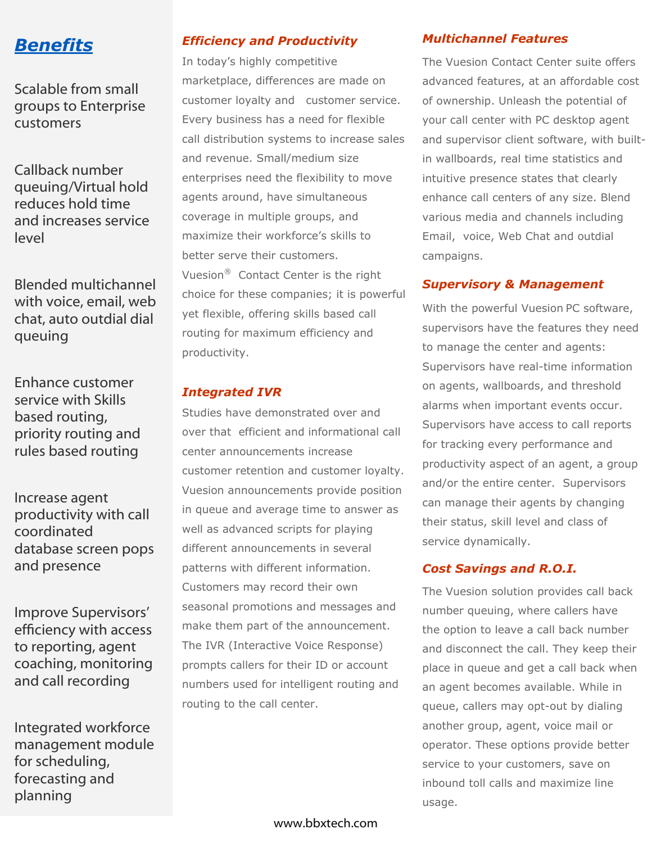

Scalable from small groups to Enterprise customers

Callback number queuing/Virtual hold reduces hold time and increases service level

Blended multichannel with voice, email, web chat, auto outdial dial queuing

Enhance customer service with Skills based routing, priority routing and rules based routing

Increase agent productivity with call coordinated database screen pops and presence

Improve Supervisors' efficiency with access to reporting, agent coaching, monitoring and call recording

Integrated workforce management module for scheduling, forecasting and planning

#### *Efficiency and Productivity*

In today's highly competitive marketplace, differences are made on customer loyalty and customer service. Every business has a need for flexible call distribution systems to increase sales and revenue. Small/medium size enterprises need the flexibility to move agents around, have simultaneous coverage in multiple groups, and maximize their workforce's skills to better serve their customers. Vuesion® Contact Center is the right choice for these companies; it is powerful yet flexible, offering skills based call routing for maximum efficiency and productivity.

#### *Integrated IVR*

Studies have demonstrated over and over that efficient and informational call center announcements increase customer retention and customer loyalty. Vuesion announcements provide position in queue and average time to answer as well as advanced scripts for playing different announcements in several patterns with different information. Customers may record their own seasonal promotions and messages and make them part of the announcement. The IVR (Interactive Voice Response) prompts callers for their ID or account numbers used for intelligent routing and routing to the call center.

#### *Multichannel Features*

The Vuesion Contact Center suite offers advanced features, at an affordable cost of ownership. Unleash the potential of your call center with PC desktop agent and supervisor client software, with builtin wallboards, real time statistics and intuitive presence states that clearly enhance call centers of any size. Blend various media and channels including Email, voice, Web Chat and outdial campaigns.

#### *Supervisory & Management*

With the powerful Vuesion PC software, supervisors have the features they need to manage the center and agents: Supervisors have real-time information on agents, wallboards, and threshold alarms when important events occur. Supervisors have access to call reports for tracking every performance and productivity aspect of an agent, a group and/or the entire center. Supervisors can manage their agents by changing their status, skill level and class of service dynamically.

#### *Cost Savings and R.O.I.*

The Vuesion solution provides call back number queuing, where callers have the option to leave a call back number and disconnect the call. They keep their place in queue and get a call back when an agent becomes available. While in queue, callers may opt-out by dialing another group, agent, voice mail or operator. These options provide better service to your customers, save on inbound toll calls and maximize line usage.

www.bbxtech.com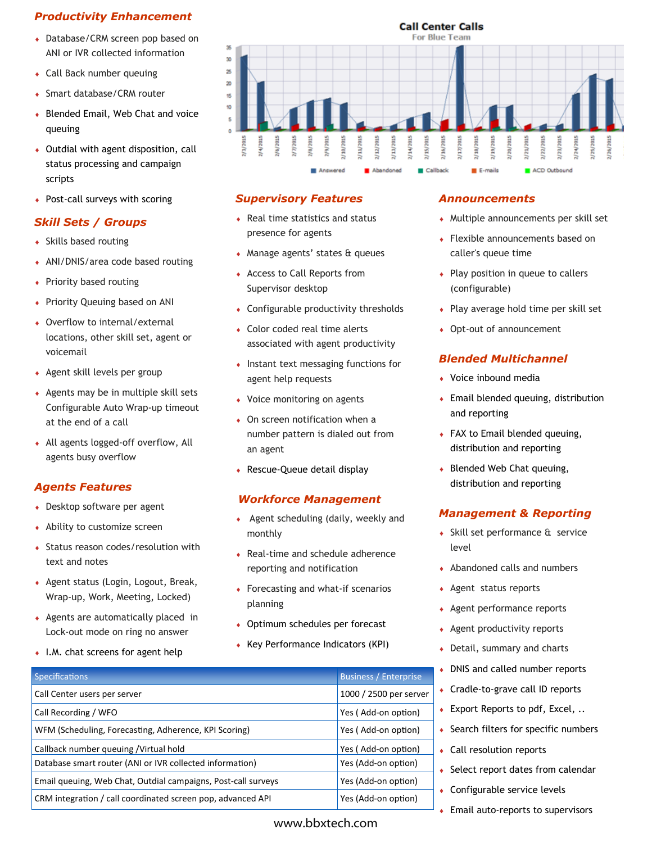#### *Productivity Enhancement*

- Database/CRM screen pop based on ANI or IVR collected information
- Call Back number queuing
- Smart database/CRM router
- Blended Email, Web Chat and voice queuing
- Outdial with agent disposition, call status processing and campaign scripts
- Post-call surveys with scoring

#### *Skill Sets / Groups*

- Skills based routing
- ANI/DNIS/area code based routing
- Priority based routing
- Priority Queuing based on ANI
- Overflow to internal/external locations, other skill set, agent or voicemail
- Agent skill levels per group
- Agents may be in multiple skill sets Configurable Auto Wrap-up timeout at the end of a call
- All agents logged-off overflow, All agents busy overflow

#### *Agents Features*

- Desktop software per agent
- Ability to customize screen
- ◆ Status reason codes/resolution with text and notes
- Agent status (Login, Logout, Break, Wrap-up, Work, Meeting, Locked)
- Agents are automatically placed in Lock-out mode on ring no answer
- I.M. chat screens for agent help



#### *Supervisory Features*

- Real time statistics and status presence for agents
- Manage agents' states & queues
- Access to Call Reports from Supervisor desktop
- Configurable productivity thresholds
- Color coded real time alerts associated with agent productivity
- Instant text messaging functions for agent help requests
- Voice monitoring on agents
- On screen notification when a number pattern is dialed out from an agent
- Rescue-Queue detail display

#### *Workforce Management*

- Agent scheduling (daily, weekly and monthly
- Real-time and schedule adherence reporting and notification
- Forecasting and what-if scenarios planning
- Optimum schedules per forecast
- Key Performance Indicators (KPI)

#### *Announcements*

- Multiple announcements per skill set
- Flexible announcements based on caller's queue time
- Play position in queue to callers (configurable)
- Play average hold time per skill set
- ◆ Opt-out of announcement

#### *Blended Multichannel*

- Voice inbound media
- Email blended queuing, distribution and reporting
- FAX to Email blended queuing, distribution and reporting
- Blended Web Chat queuing, distribution and reporting

#### *Management & Reporting*

- Skill set performance & service level
- Abandoned calls and numbers
- Agent status reports
- Agent performance reports
- Agent productivity reports
- Detail, summary and charts
- DNIS and called number reports
- Cradle-to-grave call ID reports
- ◆ Export Reports to pdf, Excel, ..
- $\bullet$  Search filters for specific numbers
- Call resolution reports
- $\bullet$  Select report dates from calendar
- Configurable service levels
- ◆ Email auto-reports to supervisors

| <b>Business / Enterprise</b> |
|------------------------------|
| 1000 / 2500 per server       |
| Yes (Add-on option)          |
| Yes (Add-on option)          |
| Yes (Add-on option)          |
| Yes (Add-on option)          |
| Yes (Add-on option)          |
| Yes (Add-on option)          |
|                              |

#### www.bbxtech.com